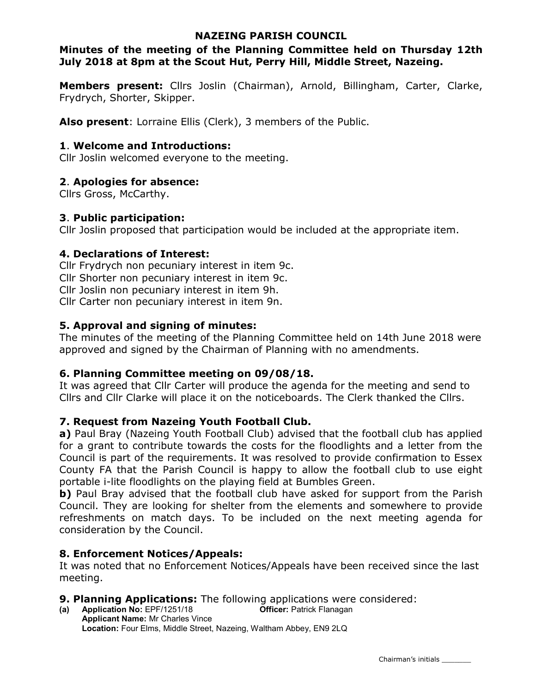### NAZEING PARISH COUNCIL

## Minutes of the meeting of the Planning Committee held on Thursday 12th July 2018 at 8pm at the Scout Hut, Perry Hill, Middle Street, Nazeing.

Members present: Cllrs Joslin (Chairman), Arnold, Billingham, Carter, Clarke, Frydrych, Shorter, Skipper.

Also present: Lorraine Ellis (Clerk), 3 members of the Public.

### 1. Welcome and Introductions:

Cllr Joslin welcomed everyone to the meeting.

## 2. Apologies for absence:

Cllrs Gross, McCarthy.

### 3. Public participation:

Cllr Joslin proposed that participation would be included at the appropriate item.

## 4. Declarations of Interest:

Cllr Frydrych non pecuniary interest in item 9c. Cllr Shorter non pecuniary interest in item 9c. Cllr Joslin non pecuniary interest in item 9h. Cllr Carter non pecuniary interest in item 9n.

## 5. Approval and signing of minutes:

The minutes of the meeting of the Planning Committee held on 14th June 2018 were approved and signed by the Chairman of Planning with no amendments.

### 6. Planning Committee meeting on 09/08/18.

It was agreed that Cllr Carter will produce the agenda for the meeting and send to Cllrs and Cllr Clarke will place it on the noticeboards. The Clerk thanked the Cllrs.

# 7. Request from Nazeing Youth Football Club.

a) Paul Bray (Nazeing Youth Football Club) advised that the football club has applied for a grant to contribute towards the costs for the floodlights and a letter from the Council is part of the requirements. It was resolved to provide confirmation to Essex County FA that the Parish Council is happy to allow the football club to use eight portable i-lite floodlights on the playing field at Bumbles Green.

b) Paul Bray advised that the football club have asked for support from the Parish Council. They are looking for shelter from the elements and somewhere to provide refreshments on match days. To be included on the next meeting agenda for consideration by the Council.

# 8. Enforcement Notices/Appeals:

It was noted that no Enforcement Notices/Appeals have been received since the last meeting.

# **9. Planning Applications:** The following applications were considered:

(a) Application No: EPF/1251/18 Officer: Patrick Flanagan Applicant Name: Mr Charles Vince Location: Four Elms, Middle Street, Nazeing, Waltham Abbey, EN9 2LQ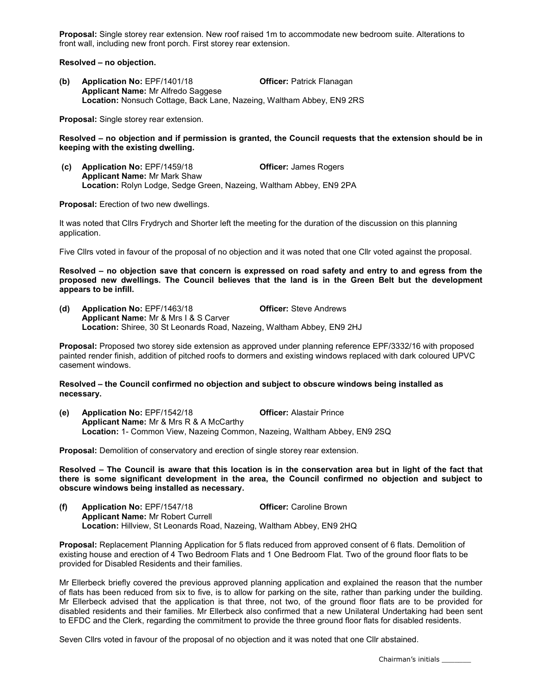Proposal: Single storey rear extension. New roof raised 1m to accommodate new bedroom suite. Alterations to front wall, including new front porch. First storey rear extension.

Resolved – no objection.

(b) Application No: EPF/1401/18 Officer: Patrick Flanagan Applicant Name: Mr Alfredo Saggese Location: Nonsuch Cottage, Back Lane, Nazeing, Waltham Abbey, EN9 2RS

Proposal: Single storey rear extension.

Resolved – no objection and if permission is granted, the Council requests that the extension should be in keeping with the existing dwelling.

 (c) Application No: EPF/1459/18 Officer: James Rogers Applicant Name: Mr Mark Shaw Location: Rolyn Lodge, Sedge Green, Nazeing, Waltham Abbey, EN9 2PA

Proposal: Erection of two new dwellings.

It was noted that Cllrs Frydrych and Shorter left the meeting for the duration of the discussion on this planning application.

Five Cllrs voted in favour of the proposal of no objection and it was noted that one Cllr voted against the proposal.

Resolved – no objection save that concern is expressed on road safety and entry to and egress from the proposed new dwellings. The Council believes that the land is in the Green Belt but the development appears to be infill.

(d) Application No: EPF/1463/18 Officer: Steve Andrews Applicant Name: Mr & Mrs I & S Carver Location: Shiree, 30 St Leonards Road, Nazeing, Waltham Abbey, EN9 2HJ

Proposal: Proposed two storey side extension as approved under planning reference EPF/3332/16 with proposed painted render finish, addition of pitched roofs to dormers and existing windows replaced with dark coloured UPVC casement windows.

#### Resolved – the Council confirmed no objection and subject to obscure windows being installed as necessary.

(e) Application No: EPF/1542/18 Officer: Alastair Prince Applicant Name: Mr & Mrs R & A McCarthy Location: 1- Common View, Nazeing Common, Nazeing, Waltham Abbey, EN9 2SQ

Proposal: Demolition of conservatory and erection of single storey rear extension.

Resolved – The Council is aware that this location is in the conservation area but in light of the fact that there is some significant development in the area, the Council confirmed no objection and subject to obscure windows being installed as necessary.

(f) Application No: EPF/1547/18 Officer: Caroline Brown Applicant Name: Mr Robert Currell Location: Hillview, St Leonards Road, Nazeing, Waltham Abbey, EN9 2HQ

Proposal: Replacement Planning Application for 5 flats reduced from approved consent of 6 flats. Demolition of existing house and erection of 4 Two Bedroom Flats and 1 One Bedroom Flat. Two of the ground floor flats to be provided for Disabled Residents and their families.

Mr Ellerbeck briefly covered the previous approved planning application and explained the reason that the number of flats has been reduced from six to five, is to allow for parking on the site, rather than parking under the building. Mr Ellerbeck advised that the application is that three, not two, of the ground floor flats are to be provided for disabled residents and their families. Mr Ellerbeck also confirmed that a new Unilateral Undertaking had been sent to EFDC and the Clerk, regarding the commitment to provide the three ground floor flats for disabled residents.

Seven Cllrs voted in favour of the proposal of no objection and it was noted that one Cllr abstained.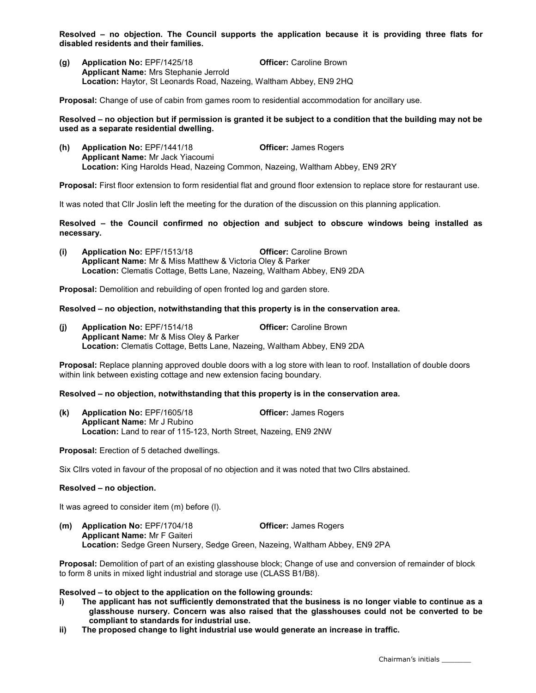Resolved – no objection. The Council supports the application because it is providing three flats for disabled residents and their families.

(g) Application No: EPF/1425/18 Officer: Caroline Brown Applicant Name: Mrs Stephanie Jerrold Location: Haytor, St Leonards Road, Nazeing, Waltham Abbey, EN9 2HQ

Proposal: Change of use of cabin from games room to residential accommodation for ancillary use.

#### Resolved – no objection but if permission is granted it be subject to a condition that the building may not be used as a separate residential dwelling.

(h) Application No: EPF/1441/18 Officer: James Rogers Applicant Name: Mr Jack Yiacoumi Location: King Harolds Head, Nazeing Common, Nazeing, Waltham Abbey, EN9 2RY

Proposal: First floor extension to form residential flat and ground floor extension to replace store for restaurant use.

It was noted that Cllr Joslin left the meeting for the duration of the discussion on this planning application.

Resolved – the Council confirmed no objection and subject to obscure windows being installed as necessary.

(i) Application No: EPF/1513/18 Officer: Caroline Brown Applicant Name: Mr & Miss Matthew & Victoria Oley & Parker Location: Clematis Cottage, Betts Lane, Nazeing, Waltham Abbey, EN9 2DA

Proposal: Demolition and rebuilding of open fronted log and garden store.

#### Resolved – no objection, notwithstanding that this property is in the conservation area.

(j) Application No: EPF/1514/18 Officer: Caroline Brown Applicant Name: Mr & Miss Oley & Parker Location: Clematis Cottage, Betts Lane, Nazeing, Waltham Abbey, EN9 2DA

Proposal: Replace planning approved double doors with a log store with lean to roof. Installation of double doors within link between existing cottage and new extension facing boundary.

#### Resolved – no objection, notwithstanding that this property is in the conservation area.

(k) Application No: EPF/1605/18 Officer: James Rogers Applicant Name: Mr J Rubino Location: Land to rear of 115-123, North Street, Nazeing, EN9 2NW

Proposal: Erection of 5 detached dwellings.

Six Cllrs voted in favour of the proposal of no objection and it was noted that two Cllrs abstained.

#### Resolved – no objection.

It was agreed to consider item (m) before (l).

(m) Application No: EPF/1704/18 Officer: James Rogers Applicant Name: Mr F Gaiteri Location: Sedge Green Nursery, Sedge Green, Nazeing, Waltham Abbey, EN9 2PA

Proposal: Demolition of part of an existing glasshouse block; Change of use and conversion of remainder of block to form 8 units in mixed light industrial and storage use (CLASS B1/B8).

#### Resolved – to object to the application on the following grounds:

- i) The applicant has not sufficiently demonstrated that the business is no longer viable to continue as a glasshouse nursery. Concern was also raised that the glasshouses could not be converted to be compliant to standards for industrial use.
- ii) The proposed change to light industrial use would generate an increase in traffic.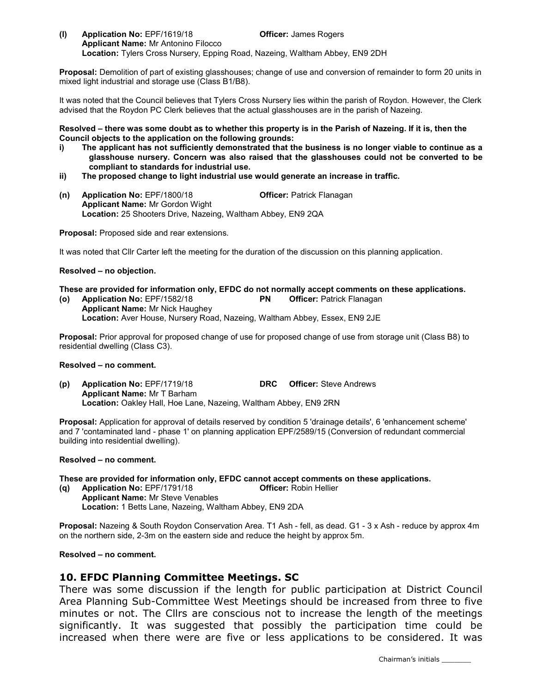(l) Application No: EPF/1619/18 Officer: James Rogers Applicant Name: Mr Antonino Filocco Location: Tylers Cross Nursery, Epping Road, Nazeing, Waltham Abbey, EN9 2DH

Proposal: Demolition of part of existing glasshouses; change of use and conversion of remainder to form 20 units in mixed light industrial and storage use (Class B1/B8).

It was noted that the Council believes that Tylers Cross Nursery lies within the parish of Roydon. However, the Clerk advised that the Roydon PC Clerk believes that the actual glasshouses are in the parish of Nazeing.

Resolved – there was some doubt as to whether this property is in the Parish of Nazeing. If it is, then the Council objects to the application on the following grounds:

- i) The applicant has not sufficiently demonstrated that the business is no longer viable to continue as a glasshouse nursery. Concern was also raised that the glasshouses could not be converted to be compliant to standards for industrial use.
- ii) The proposed change to light industrial use would generate an increase in traffic.
- (n) Application No: EPF/1800/18 Officer: Patrick Flanagan Applicant Name: Mr Gordon Wight Location: 25 Shooters Drive, Nazeing, Waltham Abbey, EN9 2QA

Proposal: Proposed side and rear extensions.

It was noted that Cllr Carter left the meeting for the duration of the discussion on this planning application.

#### Resolved – no objection.

- These are provided for information only, EFDC do not normally accept comments on these applications.
- (o) Application No: EPF/1582/18 PN Officer: Patrick Flanagan Applicant Name: Mr Nick Haughey Location: Aver House, Nursery Road, Nazeing, Waltham Abbey, Essex, EN9 2JE

Proposal: Prior approval for proposed change of use for proposed change of use from storage unit (Class B8) to residential dwelling (Class C3).

#### Resolved – no comment.

(p) Application No: EPF/1719/18 DRC Officer: Steve Andrews Applicant Name: Mr T Barham Location: Oakley Hall, Hoe Lane, Nazeing, Waltham Abbey, EN9 2RN

Proposal: Application for approval of details reserved by condition 5 'drainage details', 6 'enhancement scheme' and 7 'contaminated land - phase 1' on planning application EPF/2589/15 (Conversion of redundant commercial building into residential dwelling).

#### Resolved – no comment.

These are provided for information only, EFDC cannot accept comments on these applications.

(q) Application No: EPF/1791/18 Officer: Robin Hellier Applicant Name: Mr Steve Venables Location: 1 Betts Lane, Nazeing, Waltham Abbey, EN9 2DA

Proposal: Nazeing & South Roydon Conservation Area. T1 Ash - fell, as dead. G1 - 3 x Ash - reduce by approx 4m on the northern side, 2-3m on the eastern side and reduce the height by approx 5m.

#### Resolved – no comment.

### 10. EFDC Planning Committee Meetings. SC

There was some discussion if the length for public participation at District Council Area Planning Sub-Committee West Meetings should be increased from three to five minutes or not. The Cllrs are conscious not to increase the length of the meetings significantly. It was suggested that possibly the participation time could be increased when there were are five or less applications to be considered. It was